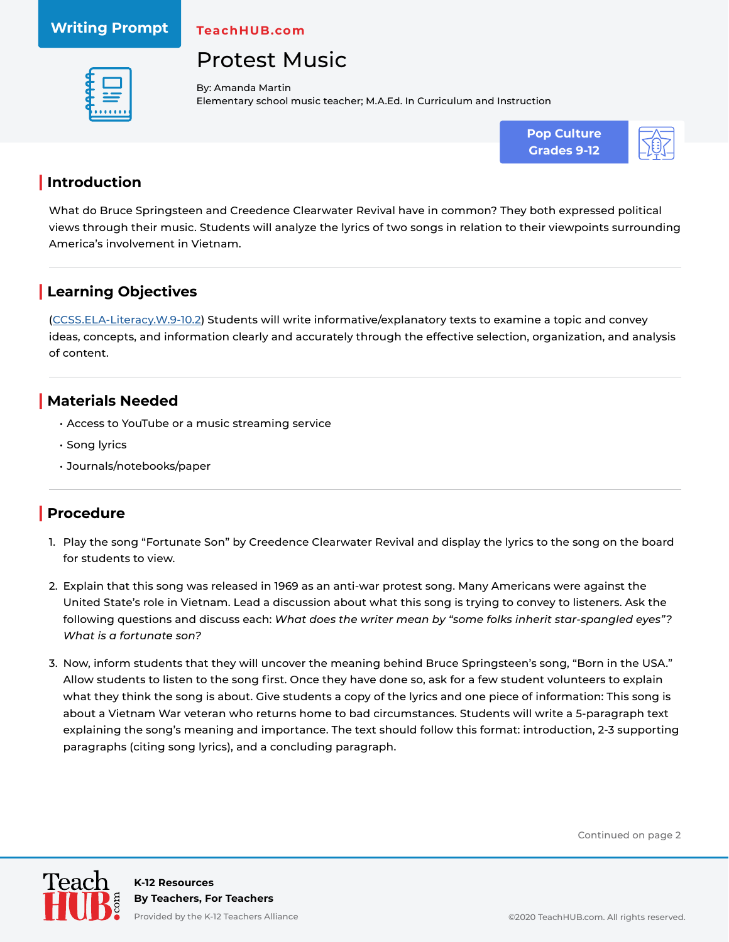#### **Writing Prompt**

**TeachHUB.com**

# Protest Music



By: Amanda Martin Elementary school music teacher; M.A.Ed. In Curriculum and Instruction



#### **| Introduction**

What do Bruce Springsteen and Creedence Clearwater Revival have in common? They both expressed political views through their music. Students will analyze the lyrics of two songs in relation to their viewpoints surrounding America's involvement in Vietnam.

### **| Learning Objectives**

[\(CCSS.ELA-Literacy.W.9-10.2\)](http://www.corestandards.org/ELA-Literacy/W/9-10/2/) Students will write informative/explanatory texts to examine a topic and convey ideas, concepts, and information clearly and accurately through the effective selection, organization, and analysis of content.

#### **| Materials Needed**

- Access to YouTube or a music streaming service
- Song lyrics
- Journals/notebooks/paper

#### **| Procedure**

- 1. Play the song "Fortunate Son" by Creedence Clearwater Revival and display the lyrics to the song on the board for students to view.
- 2. Explain that this song was released in 1969 as an anti-war protest song. Many Americans were against the United State's role in Vietnam. Lead a discussion about what this song is trying to convey to listeners. Ask the following questions and discuss each: *What does the writer mean by "some folks inherit star-spangled eyes"? What is a fortunate son?*
- 3. Now, inform students that they will uncover the meaning behind Bruce Springsteen's song, "Born in the USA." Allow students to listen to the song first. Once they have done so, ask for a few student volunteers to explain what they think the song is about. Give students a copy of the lyrics and one piece of information: This song is about a Vietnam War veteran who returns home to bad circumstances. Students will write a 5-paragraph text explaining the song's meaning and importance. The text should follow this format: introduction, 2-3 supporting paragraphs (citing song lyrics), and a concluding paragraph.

Continued on page 2